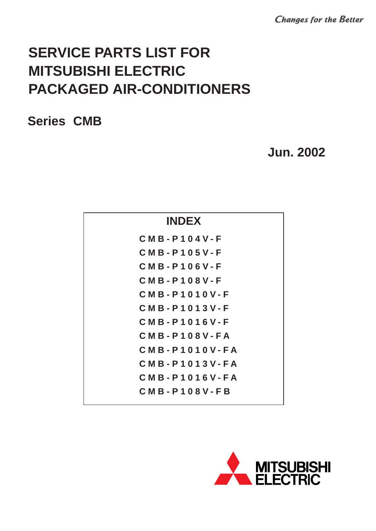**Changes for the Better** 

# **SERVICE PARTS LIST FOR MITSUBISHI ELECTRIC PACKAGED AIR-CONDITIONERS**

### **Series CMB**

## **Jun. 2002**

| <b>INDEX</b>       |  |
|--------------------|--|
| $CMB - P104V - F$  |  |
| $CMB - P105V - F$  |  |
| $CMB - P106V - F$  |  |
| $CMB - P108V - F$  |  |
| $CMB - P1010V - F$ |  |
| CMB-P1013V-F       |  |
| CMB-P1016V-F       |  |
| $CMB - P108V - FA$ |  |
| CMB-P1010V-FA      |  |
| CMB-P1013V-FA      |  |
| CMB-P1016V-FA      |  |
| $CMB - P108V - FB$ |  |
|                    |  |

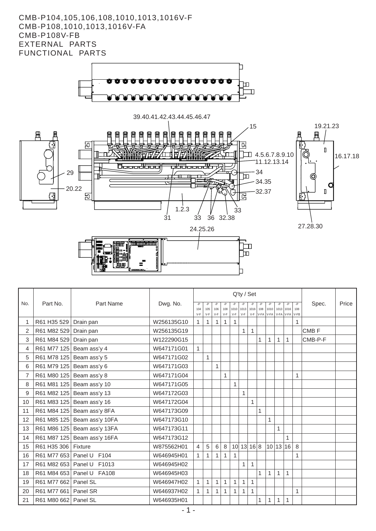#### CMB-P104,105,106,108,1010,1013,1016V-F CMB-P108,1010,1013,1016V-FA **CMB-P108V-FB** EXTERNAL PARTS FUNCTIONAL PARTS



|     |                      |                             |            | Q'ty / Set   |              |              |              |              |                    |              |     |                                                          |    |    |      |                  |       |
|-----|----------------------|-----------------------------|------------|--------------|--------------|--------------|--------------|--------------|--------------------|--------------|-----|----------------------------------------------------------|----|----|------|------------------|-------|
| No. | Part No.             | Part Name                   | Dwg. No.   | -P           | -P           |              |              |              |                    |              |     |                                                          | -P | -P | $-P$ | Spec.            | Price |
|     |                      |                             |            | 104<br>$V-F$ | 105<br>V-F   | 106<br>$V-F$ | 108<br>$V-F$ | $V-F$        | 1010 1013<br>$V-F$ | 1016         | 108 | 1010 1013 1016<br>V-F   V-FA   V-FA   V-FA   V-FA   V-FB |    |    | 108  |                  |       |
|     | R61 H35 529          | Drain pan                   | W256135G10 | 1            | $\mathbf{1}$ | $\mathbf{1}$ | $\mathbf{1}$ | $\mathbf{1}$ |                    |              |     |                                                          |    |    | 1    |                  |       |
| 2   | R61 M82 529          | Drain pan                   | W256135G19 |              |              |              |              |              | $\mathbf{1}$       | $\mathbf{1}$ |     |                                                          |    |    |      | CMB <sub>F</sub> |       |
| 3   | R61 M84 529          | Drain pan                   | W122290G15 |              |              |              |              |              |                    |              | 1   | 1                                                        | 1  | 1  |      | CMB-P-F          |       |
| 4   |                      | R61 M77 125 Beam ass'y 4    | W647171G01 | $\mathbf{1}$ |              |              |              |              |                    |              |     |                                                          |    |    |      |                  |       |
| 5   |                      | R61 M78 125 Beam ass'y 5    | W647171G02 |              | $\mathbf{1}$ |              |              |              |                    |              |     |                                                          |    |    |      |                  |       |
| 6   |                      | R61 M79 125 Beam ass'y 6    | W647171G03 |              |              | $\mathbf{1}$ |              |              |                    |              |     |                                                          |    |    |      |                  |       |
| 7   |                      | R61 M80 125 Beam ass'y 8    | W647171G04 |              |              |              | $\mathbf{1}$ |              |                    |              |     |                                                          |    |    | 1    |                  |       |
| 8   |                      | R61 M81 125 Beam ass'y 10   | W647171G05 |              |              |              |              | $\mathbf{1}$ |                    |              |     |                                                          |    |    |      |                  |       |
| 9   |                      | R61 M82 125 Beam ass'y 13   | W647172G03 |              |              |              |              |              | $\mathbf{1}$       |              |     |                                                          |    |    |      |                  |       |
| 10  |                      | R61 M83 125 Beam ass'y 16   | W647172G04 |              |              |              |              |              |                    | $\mathbf{1}$ |     |                                                          |    |    |      |                  |       |
| 11  |                      | R61 M84 125 Beam ass'y 8FA  | W647173G09 |              |              |              |              |              |                    |              | 1   |                                                          |    |    |      |                  |       |
| 12  |                      | R61 M85 125 Beam ass'y 10FA | W647173G10 |              |              |              |              |              |                    |              |     | 1                                                        |    |    |      |                  |       |
| 13  |                      | R61 M86 125 Beam ass'y 13FA | W647173G11 |              |              |              |              |              |                    |              |     |                                                          | 1  |    |      |                  |       |
| 14  |                      | R61 M87 125 Beam ass'y 16FA | W647173G12 |              |              |              |              |              |                    |              |     |                                                          |    | 1  |      |                  |       |
| 15  | R61 H35 306          | Fixture                     | W875562H01 | 4            | 5            | 6            | 8            |              | 10 13 16 8         |              |     | 10 13 16                                                 |    |    | 8    |                  |       |
| 16  | R61 M77 653 Panel U  | F <sub>104</sub>            | W646945H01 | 1            | 1            | 1            | 1            | 1            |                    |              |     |                                                          |    |    | 1    |                  |       |
| 17  | R61 M82 653 Panel U  | F <sub>1013</sub>           | W646945H02 |              |              |              |              |              | 1                  | $\mathbf{1}$ |     |                                                          |    |    |      |                  |       |
| 18  |                      | R61 M84 653 Panel U FA108   | W646945H03 |              |              |              |              |              |                    |              |     | 1                                                        | 1  | 1  |      |                  |       |
| 19  | R61 M77 662 Panel SL |                             | W646947H02 | 1            | $\mathbf{1}$ | $\mathbf{1}$ | $\mathbf{1}$ | 1            | 1                  | $\mathbf{1}$ |     |                                                          |    |    |      |                  |       |
| 20  | R61 M77 661          | Panel SR                    | W646937H02 | 1            | $\mathbf{1}$ | 1            | 1            | 1            | 1                  | 1            |     |                                                          |    |    | 1    |                  |       |
| 21  | R61 M80 662 Panel SL |                             | W646935H01 |              |              |              |              |              |                    |              | 1   | 1                                                        | 1  | 1  |      |                  |       |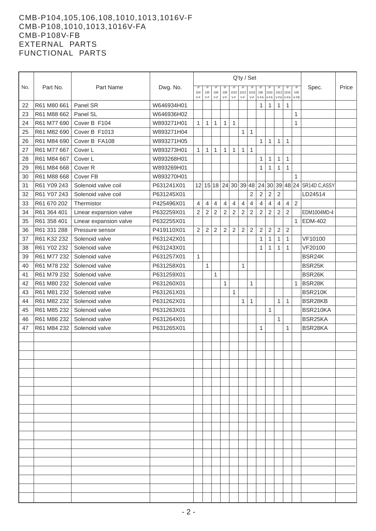#### CMB-P104,105,106,108,1010,1013,1016V-F CMB-P108,1010,1013,1016V-FA CMB-P108V-FB EXTERNAL PARTS FUNCTIONAL PARTS

|     |             |                        |            | Q'ty / Set     |              |                |                |                      |                |                |             |                |                |                |                |                              |       |
|-----|-------------|------------------------|------------|----------------|--------------|----------------|----------------|----------------------|----------------|----------------|-------------|----------------|----------------|----------------|----------------|------------------------------|-------|
| No. | Part No.    | Part Name              | Dwg. No.   | -Р<br>104      | -Р<br>105    | 106            | 108            | 1010                 | 1013           | 1016           | 108         | 1010           | 1013           | 1016           | -Р<br>108      | Spec.                        | Price |
|     |             |                        |            | $V-F$          | $V-F$        | V-F            | $V-F$          | V-F                  | $V-F$          | $V-F$          | V-FA        | V-FA           | V-FA           | V-FA           | V-FB           |                              |       |
| 22  | R61 M80 661 | Panel SR               | W646934H01 |                |              |                |                |                      |                |                | 1           | 1              | 1              | $\mathbf{1}$   |                |                              |       |
| 23  | R61 M88 662 | Panel SL               | W646936H02 |                |              |                |                |                      |                |                |             |                |                |                | 1              |                              |       |
| 24  | R61 M77 690 | Cover B F104           | W893271H01 | 1              | 1            | $\mathbf{1}$   | 1              | $\mathbf{1}$         |                |                |             |                |                |                | 1              |                              |       |
| 25  | R61 M82 690 | Cover B F1013          | W893271H04 |                |              |                |                |                      | 1              | $\mathbf{1}$   |             |                |                |                |                |                              |       |
| 26  | R61 M84 690 | Cover B FA108          | W893271H05 |                |              |                |                |                      |                |                | 1           | 1              | 1              | 1              |                |                              |       |
| 27  | R61 M77 667 | Cover L                | W893273H01 | 1              | 1            | 1              | 1              | 1                    | 1              | $\mathbf{1}$   |             |                |                |                |                |                              |       |
| 28  | R61 M84 667 | Cover L                | W893268H01 |                |              |                |                |                      |                |                | 1           | $\mathbf{1}$   | $\mathbf{1}$   | $\mathbf{1}$   |                |                              |       |
| 29  | R61 M84 668 | Cover <sub>R</sub>     | W893269H01 |                |              |                |                |                      |                |                | 1           | 1              | 1              | 1              |                |                              |       |
| 30  | R61 M88 668 | Cover FB               | W893270H01 |                |              |                |                |                      |                |                |             |                |                |                | $\mathbf{1}$   |                              |       |
| 31  | R61 Y09 243 | Solenoid valve coil    | P631241X01 |                |              |                |                | 12 15 18 24 30 39 48 |                |                |             |                |                |                |                | 24 30 39 48 24 SR14D C, ASSY |       |
| 32  | R61 Y07 243 | Solenoid valve coil    | P631245X01 |                |              |                |                |                      |                | 2              | 2           | 2              | $\overline{2}$ |                |                | LD24514                      |       |
| 33  | R61 670 202 | Thermistor             | P425496X01 | 4              | 4            | $\overline{4}$ | $\overline{4}$ | $\overline{4}$       | $\overline{4}$ | 4              | 4           | $\overline{4}$ | 4              | $\overline{4}$ | $\overline{2}$ |                              |       |
| 34  | R61 364 401 | Linear expansion valve | P632259X01 | $\overline{c}$ | 2            | 2              | 2              | $\overline{2}$       | 2              | 2              | 2           | 2              | $\overline{c}$ | $\overline{c}$ |                | EDM1004MD-4                  |       |
| 35  | R61 358 401 | Linear expansion valve | P632255X01 |                |              |                |                |                      |                |                |             |                |                |                | $\mathbf{1}$   | <b>EDM-402</b>               |       |
| 36  | R61 331 288 | Pressure sensor        | P419110X01 | $\overline{c}$ | $\mathbf 2$  | $\sqrt{2}$     | $\sqrt{2}$     | $\sqrt{2}$           | $\overline{c}$ | $\overline{c}$ | $\mathbf 2$ | $\overline{2}$ | $\mathbf 2$    | $\mathbf 2$    |                |                              |       |
| 37  | R61 K32 232 | Solenoid valve         | P631242X01 |                |              |                |                |                      |                |                | 1           | 1              | $\mathbf{1}$   | 1              |                | VF10100                      |       |
| 38  | R61 Y02 232 | Solenoid valve         | P631243X01 |                |              |                |                |                      |                |                | 1           | 1              | 1              | 1              |                | VF20100                      |       |
| 39  | R61 M77 232 | Solenoid valve         | P631257X01 | $\mathbf{1}$   |              |                |                |                      |                |                |             |                |                |                |                | BSR24K                       |       |
| 40  | R61 M78 232 | Solenoid valve         | P631258X01 |                | $\mathbf{1}$ |                |                |                      | $\mathbf{1}$   |                |             |                |                |                |                | BSR25K                       |       |
| 41  | R61 M79 232 | Solenoid valve         | P631259X01 |                |              | 1              |                |                      |                |                |             |                |                |                |                | BSR26K                       |       |
| 42  | R61 M80 232 | Solenoid valve         | P631260X01 |                |              |                | $\mathbf{1}$   |                      |                | 1              |             |                |                |                | $\mathbf{1}$   | BSR28K                       |       |
| 43  | R61 M81 232 | Solenoid valve         | P631261X01 |                |              |                |                | 1                    |                |                |             |                |                |                |                | <b>BSR210K</b>               |       |
| 44  | R61 M82 232 | Solenoid valve         | P631262X01 |                |              |                |                |                      | 1              | 1              |             |                | 1              | 1              |                | BSR28KB                      |       |
| 45  | R61 M85 232 | Solenoid valve         | P631263X01 |                |              |                |                |                      |                |                |             | 1              |                |                |                | BSR210KA                     |       |
| 46  | R61 M86 232 | Solenoid valve         | P631264X01 |                |              |                |                |                      |                |                |             |                | 1              |                |                | BSR25KA                      |       |
| 47  | R61 M84 232 | Solenoid valve         | P631265X01 |                |              |                |                |                      |                |                | 1           |                |                | $\mathbf{1}$   |                | BSR28KA                      |       |
|     |             |                        |            |                |              |                |                |                      |                |                |             |                |                |                |                |                              |       |
|     |             |                        |            |                |              |                |                |                      |                |                |             |                |                |                |                |                              |       |
|     |             |                        |            |                |              |                |                |                      |                |                |             |                |                |                |                |                              |       |
|     |             |                        |            |                |              |                |                |                      |                |                |             |                |                |                |                |                              |       |
|     |             |                        |            |                |              |                |                |                      |                |                |             |                |                |                |                |                              |       |
|     |             |                        |            |                |              |                |                |                      |                |                |             |                |                |                |                |                              |       |
|     |             |                        |            |                |              |                |                |                      |                |                |             |                |                |                |                |                              |       |
|     |             |                        |            |                |              |                |                |                      |                |                |             |                |                |                |                |                              |       |
|     |             |                        |            |                |              |                |                |                      |                |                |             |                |                |                |                |                              |       |
|     |             |                        |            |                |              |                |                |                      |                |                |             |                |                |                |                |                              |       |
|     |             |                        |            |                |              |                |                |                      |                |                |             |                |                |                |                |                              |       |
|     |             |                        |            |                |              |                |                |                      |                |                |             |                |                |                |                |                              |       |
|     |             |                        |            |                |              |                |                |                      |                |                |             |                |                |                |                |                              |       |
|     |             |                        |            |                |              |                |                |                      |                |                |             |                |                |                |                |                              |       |
|     |             |                        |            |                |              |                |                |                      |                |                |             |                |                |                |                |                              |       |
|     |             |                        |            |                |              |                |                |                      |                |                |             |                |                |                |                |                              |       |
|     |             |                        |            |                |              |                |                |                      |                |                |             |                |                |                |                |                              |       |
|     |             |                        |            |                |              |                |                |                      |                |                |             |                |                |                |                |                              |       |
|     |             |                        |            |                |              |                |                |                      |                |                |             |                |                |                |                |                              |       |
|     |             |                        |            |                |              |                |                |                      |                |                |             |                |                |                |                |                              |       |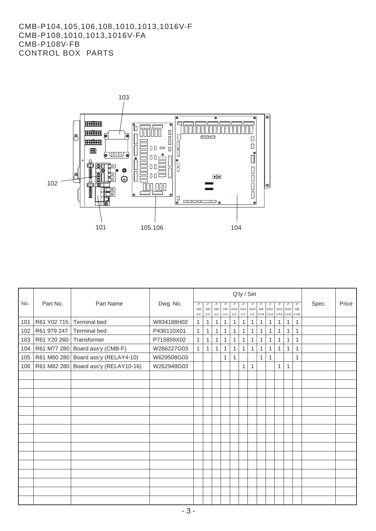#### CMB-P104,105,106,108,1010,1013,1016V-F CMB-P108,1010,1013,1016V-FA CMB-P108V-FB CONTROL BOX PARTS



|     |             | Q'ty / Set                           |            |                      |                    |                    |                    |                      |              |                       |                   |                    |                   |                        |              |       |       |
|-----|-------------|--------------------------------------|------------|----------------------|--------------------|--------------------|--------------------|----------------------|--------------|-----------------------|-------------------|--------------------|-------------------|------------------------|--------------|-------|-------|
| No. | Part No.    | Part Name                            | Dwg. No.   | $-P$<br>104<br>$V-F$ | -P<br>105<br>$V-F$ | -P<br>106<br>$V-F$ | -P<br>108<br>$V-F$ | $1010$ 1013<br>$V-F$ | $V-F$        | -P<br> 1016 <br>$V-F$ | -P<br>108<br>V-FA | -P<br>1010<br>V-FA | $-P$<br>1013 1016 | $-P$<br>V-FA V-FA V-FB | $-P$<br>108  | Spec. | Price |
| 101 | R61 Y02 715 | <b>Terminal bed</b>                  | W834188H02 | $\mathbf{1}$         | $\mathbf{1}$       | $\mathbf{1}$       | $\mathbf{1}$       | $\mathbf{1}$         | $\mathbf{1}$ | $\mathbf{1}$          | 1                 | 1                  | $\mathbf{1}$      | $\mathbf{1}$           | $\mathbf{1}$ |       |       |
| 102 | R61 979 247 | <b>Terminal bed</b>                  | P436110X01 | 1                    | $\mathbf{1}$       | $\mathbf{1}$       | $\mathbf{1}$       | $\mathbf{1}$         | $\mathbf{1}$ | $\mathbf{1}$          | $\mathbf{1}$      | $\mathbf{1}$       | 1                 | $\mathbf{1}$           | $\mathbf{1}$ |       |       |
| 103 | R61 Y20 260 | Transformer                          | P715859X02 | $\mathbf{1}$         | $\mathbf{1}$       | $\mathbf{1}$       | $\mathbf{1}$       | $\mathbf{1}$         | $\mathbf{1}$ | $\mathbf{1}$          | $\mathbf{1}$      | $\mathbf{1}$       | $\mathbf{1}$      | 1                      | 1            |       |       |
| 104 |             | R61 M77 280 Board ass'y (CMB-F)      | W266227G03 | $\mathbf{1}$         | $\mathbf{1}$       | $\mathbf{1}$       | $\mathbf{1}$       | 1                    | $\mathbf{1}$ | $\mathbf{1}$          | $\mathbf{1}$      | 1                  | 1                 | $\mathbf{1}$           | $\mathbf{1}$ |       |       |
| 105 |             | R61 M80 280 Board ass'y (RELAY4-10)  | W629508G03 |                      |                    |                    | 1                  | 1                    |              |                       | $\mathbf{1}$      | 1                  |                   |                        | 1            |       |       |
| 106 |             | R61 M82 280 Board ass'y (RELAY10-16) | W262948G03 |                      |                    |                    |                    |                      | $\mathbf{1}$ | $\mathbf{1}$          |                   |                    | $\mathbf{1}$      | $\mathbf{1}$           |              |       |       |
|     |             |                                      |            |                      |                    |                    |                    |                      |              |                       |                   |                    |                   |                        |              |       |       |
|     |             |                                      |            |                      |                    |                    |                    |                      |              |                       |                   |                    |                   |                        |              |       |       |
|     |             |                                      |            |                      |                    |                    |                    |                      |              |                       |                   |                    |                   |                        |              |       |       |
|     |             |                                      |            |                      |                    |                    |                    |                      |              |                       |                   |                    |                   |                        |              |       |       |
|     |             |                                      |            |                      |                    |                    |                    |                      |              |                       |                   |                    |                   |                        |              |       |       |
|     |             |                                      |            |                      |                    |                    |                    |                      |              |                       |                   |                    |                   |                        |              |       |       |
|     |             |                                      |            |                      |                    |                    |                    |                      |              |                       |                   |                    |                   |                        |              |       |       |
|     |             |                                      |            |                      |                    |                    |                    |                      |              |                       |                   |                    |                   |                        |              |       |       |
|     |             |                                      |            |                      |                    |                    |                    |                      |              |                       |                   |                    |                   |                        |              |       |       |
|     |             |                                      |            |                      |                    |                    |                    |                      |              |                       |                   |                    |                   |                        |              |       |       |
|     |             |                                      |            |                      |                    |                    |                    |                      |              |                       |                   |                    |                   |                        |              |       |       |
|     |             |                                      |            |                      |                    |                    |                    |                      |              |                       |                   |                    |                   |                        |              |       |       |
|     |             |                                      |            |                      |                    |                    |                    |                      |              |                       |                   |                    |                   |                        |              |       |       |
|     |             |                                      |            |                      |                    |                    |                    |                      |              |                       |                   |                    |                   |                        |              |       |       |
|     |             |                                      |            |                      |                    |                    |                    |                      |              |                       |                   |                    |                   |                        |              |       |       |